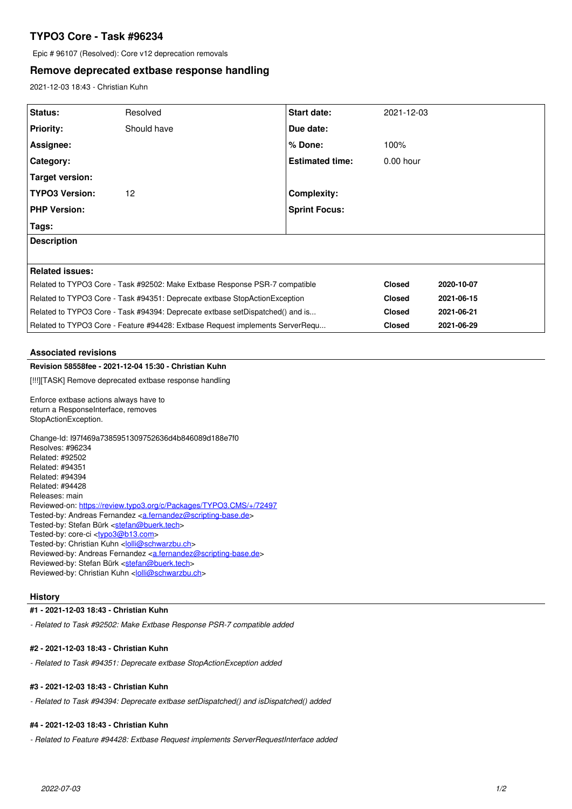# **TYPO3 Core - Task #96234**

Epic # 96107 (Resolved): Core v12 deprecation removals

## **Remove deprecated extbase response handling**

2021-12-03 18:43 - Christian Kuhn

| <b>Status:</b>                                                                | Resolved    | <b>Start date:</b>     | 2021-12-03    |            |
|-------------------------------------------------------------------------------|-------------|------------------------|---------------|------------|
| <b>Priority:</b>                                                              | Should have | Due date:              |               |            |
| Assignee:                                                                     |             | % Done:                | 100%          |            |
| Category:                                                                     |             | <b>Estimated time:</b> | $0.00$ hour   |            |
| Target version:                                                               |             |                        |               |            |
| <b>TYPO3 Version:</b>                                                         | 12          | Complexity:            |               |            |
| <b>PHP Version:</b>                                                           |             | <b>Sprint Focus:</b>   |               |            |
| Tags:                                                                         |             |                        |               |            |
| <b>Description</b>                                                            |             |                        |               |            |
|                                                                               |             |                        |               |            |
| <b>Related issues:</b>                                                        |             |                        |               |            |
| Related to TYPO3 Core - Task #92502: Make Extbase Response PSR-7 compatible   |             |                        | <b>Closed</b> | 2020-10-07 |
| Related to TYPO3 Core - Task #94351: Deprecate extbase StopActionException    |             |                        | <b>Closed</b> | 2021-06-15 |
| Related to TYPO3 Core - Task #94394: Deprecate extbase setDispatched() and is |             |                        | <b>Closed</b> | 2021-06-21 |
| Related to TYPO3 Core - Feature #94428: Extbase Request implements ServerRequ |             |                        | <b>Closed</b> | 2021-06-29 |

## **Associated revisions**

#### **Revision 58558fee - 2021-12-04 15:30 - Christian Kuhn**

[!!!][TASK] Remove deprecated extbase response handling

Enforce extbase actions always have to return a ResponseInterface, removes StopActionException.

Change-Id: I97f469a7385951309752636d4b846089d188e7f0 Resolves: #96234 Related: #92502 Related: #94351 Related: #94394 Related: #94428 Releases: main Reviewed-on:<https://review.typo3.org/c/Packages/TYPO3.CMS/+/72497> Tested-by: Andreas Fernandez [<a.fernandez@scripting-base.de>](mailto:a.fernandez@scripting-base.de) Tested-by: Stefan Bürk <[stefan@buerk.tech](mailto:stefan@buerk.tech)> Tested-by: core-ci [<typo3@b13.com](mailto:typo3@b13.com)> Tested-by: Christian Kuhn <<u>[lolli@schwarzbu.ch](mailto:lolli@schwarzbu.ch)</u> Reviewed-by: Andreas Fernandez [<a.fernandez@scripting-base.de](mailto:a.fernandez@scripting-base.de)> Reviewed-by: Stefan Bürk <[stefan@buerk.tech>](mailto:stefan@buerk.tech) Reviewed-by: Christian Kuhn </a>

#### **History**

#### **#1 - 2021-12-03 18:43 - Christian Kuhn**

*- Related to Task #92502: Make Extbase Response PSR-7 compatible added*

## **#2 - 2021-12-03 18:43 - Christian Kuhn**

*- Related to Task #94351: Deprecate extbase StopActionException added*

## **#3 - 2021-12-03 18:43 - Christian Kuhn**

*- Related to Task #94394: Deprecate extbase setDispatched() and isDispatched() added*

#### **#4 - 2021-12-03 18:43 - Christian Kuhn**

*- Related to Feature #94428: Extbase Request implements ServerRequestInterface added*